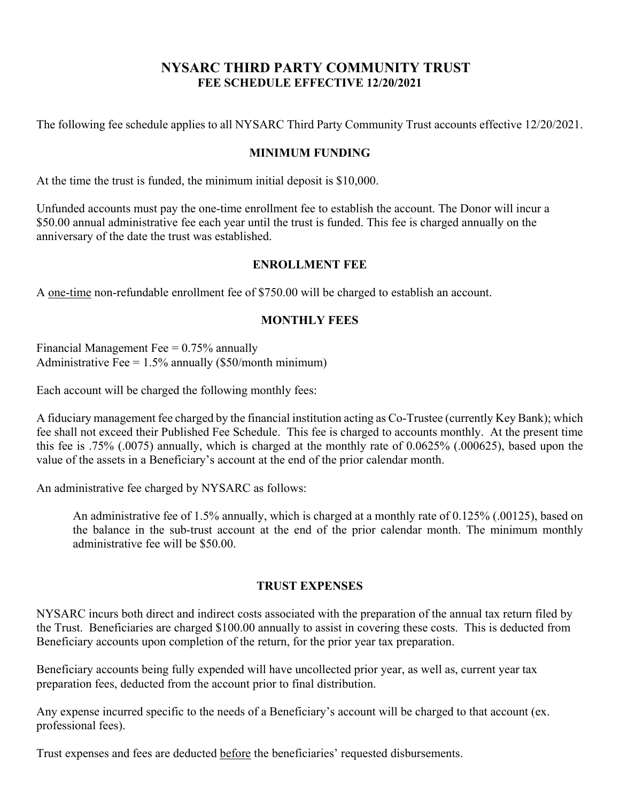# **NYSARC THIRD PARTY COMMUNITY TRUST FEE SCHEDULE EFFECTIVE 12/20/2021**

The following fee schedule applies to all NYSARC Third Party Community Trust accounts effective 12/20/2021.

### **MINIMUM FUNDING**

At the time the trust is funded, the minimum initial deposit is \$10,000.

Unfunded accounts must pay the one-time enrollment fee to establish the account. The Donor will incur a \$50.00 annual administrative fee each year until the trust is funded. This fee is charged annually on the anniversary of the date the trust was established.

### **ENROLLMENT FEE**

A one-time non-refundable enrollment fee of \$750.00 will be charged to establish an account.

## **MONTHLY FEES**

Financial Management Fee  $= 0.75\%$  annually Administrative Fee =  $1.5\%$  annually (\$50/month minimum)

Each account will be charged the following monthly fees:

A fiduciary management fee charged by the financial institution acting as Co-Trustee (currently Key Bank); which fee shall not exceed their Published Fee Schedule. This fee is charged to accounts monthly. At the present time this fee is .75% (.0075) annually, which is charged at the monthly rate of 0.0625% (.000625), based upon the value of the assets in a Beneficiary's account at the end of the prior calendar month.

An administrative fee charged by NYSARC as follows:

An administrative fee of 1.5% annually, which is charged at a monthly rate of 0.125% (.00125), based on the balance in the sub-trust account at the end of the prior calendar month. The minimum monthly administrative fee will be \$50.00.

#### **TRUST EXPENSES**

NYSARC incurs both direct and indirect costs associated with the preparation of the annual tax return filed by the Trust. Beneficiaries are charged \$100.00 annually to assist in covering these costs. This is deducted from Beneficiary accounts upon completion of the return, for the prior year tax preparation.

Beneficiary accounts being fully expended will have uncollected prior year, as well as, current year tax preparation fees, deducted from the account prior to final distribution.

Any expense incurred specific to the needs of a Beneficiary's account will be charged to that account (ex. professional fees).

Trust expenses and fees are deducted before the beneficiaries' requested disbursements.